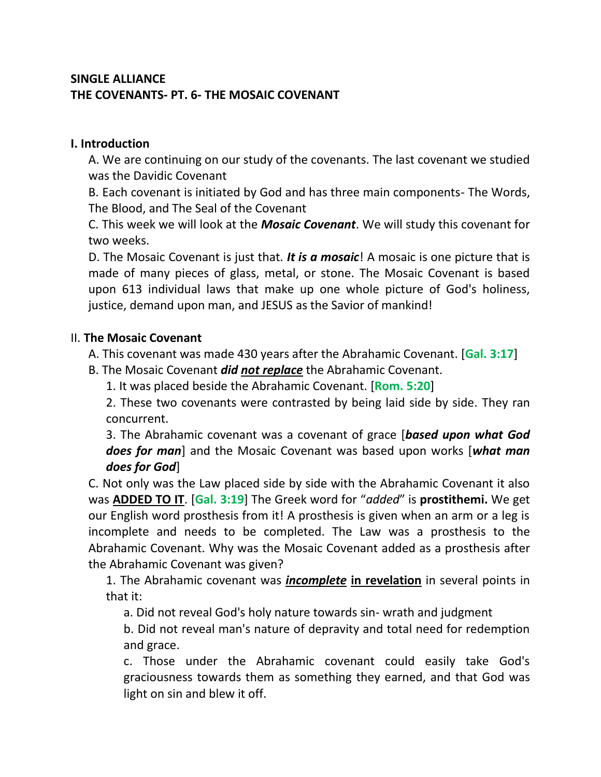## **SINGLE ALLIANCE THE COVENANTS- PT. 6- THE MOSAIC COVENANT**

## **I. Introduction**

A. We are continuing on our study of the covenants. The last covenant we studied was the Davidic Covenant

B. Each covenant is initiated by God and has three main components- The Words, The Blood, and The Seal of the Covenant

C. This week we will look at the *Mosaic Covenant*. We will study this covenant for two weeks.

D. The Mosaic Covenant is just that. *It is a mosaic*! A mosaic is one picture that is made of many pieces of glass, metal, or stone. The Mosaic Covenant is based upon 613 individual laws that make up one whole picture of God's holiness, justice, demand upon man, and JESUS as the Savior of mankind!

## II. **The Mosaic Covenant**

A. This covenant was made 430 years after the Abrahamic Covenant. [**Gal. 3:17**]

B. The Mosaic Covenant *did not replace* the Abrahamic Covenant.

1. It was placed beside the Abrahamic Covenant. [**Rom. 5:20**]

2. These two covenants were contrasted by being laid side by side. They ran concurrent.

3. The Abrahamic covenant was a covenant of grace [*based upon what God does for man*] and the Mosaic Covenant was based upon works [*what man does for God*]

C. Not only was the Law placed side by side with the Abrahamic Covenant it also was **ADDED TO IT**. [**Gal. 3:19**] The Greek word for "*added*" is **prostithemi.** We get our English word prosthesis from it! A prosthesis is given when an arm or a leg is incomplete and needs to be completed. The Law was a prosthesis to the Abrahamic Covenant. Why was the Mosaic Covenant added as a prosthesis after the Abrahamic Covenant was given?

1. The Abrahamic covenant was *incomplete* **in revelation** in several points in that it:

a. Did not reveal God's holy nature towards sin- wrath and judgment

b. Did not reveal man's nature of depravity and total need for redemption and grace.

c. Those under the Abrahamic covenant could easily take God's graciousness towards them as something they earned, and that God was light on sin and blew it off.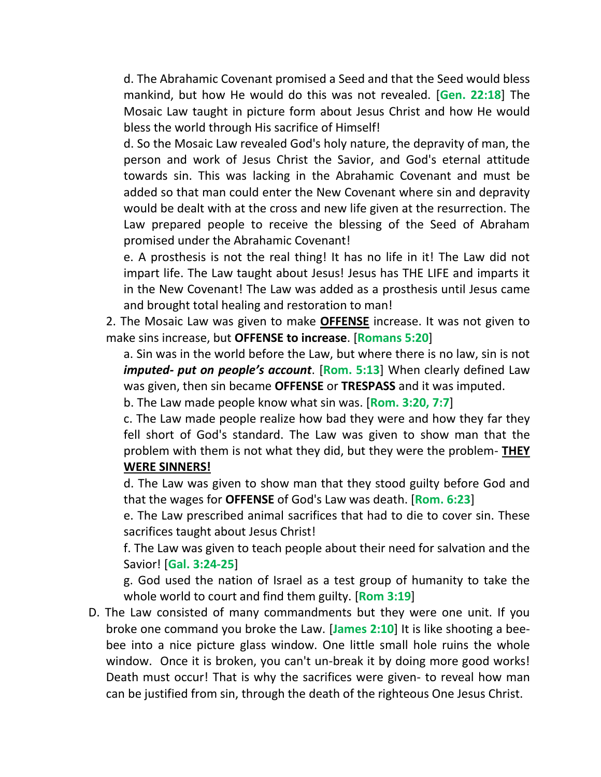d. The Abrahamic Covenant promised a Seed and that the Seed would bless mankind, but how He would do this was not revealed. [**Gen. 22:18**] The Mosaic Law taught in picture form about Jesus Christ and how He would bless the world through His sacrifice of Himself!

d. So the Mosaic Law revealed God's holy nature, the depravity of man, the person and work of Jesus Christ the Savior, and God's eternal attitude towards sin. This was lacking in the Abrahamic Covenant and must be added so that man could enter the New Covenant where sin and depravity would be dealt with at the cross and new life given at the resurrection. The Law prepared people to receive the blessing of the Seed of Abraham promised under the Abrahamic Covenant!

e. A prosthesis is not the real thing! It has no life in it! The Law did not impart life. The Law taught about Jesus! Jesus has THE LIFE and imparts it in the New Covenant! The Law was added as a prosthesis until Jesus came and brought total healing and restoration to man!

2. The Mosaic Law was given to make **OFFENSE** increase. It was not given to make sins increase, but **OFFENSE to increase**. [**Romans 5:20**]

a. Sin was in the world before the Law, but where there is no law, sin is not *imputed- put on people's account*. [**Rom. 5:13**] When clearly defined Law was given, then sin became **OFFENSE** or **TRESPASS** and it was imputed.

b. The Law made people know what sin was. [**Rom. 3:20, 7:7**]

c. The Law made people realize how bad they were and how they far they fell short of God's standard. The Law was given to show man that the problem with them is not what they did, but they were the problem- **THEY WERE SINNERS!**

d. The Law was given to show man that they stood guilty before God and that the wages for **OFFENSE** of God's Law was death. [**Rom. 6:23**]

e. The Law prescribed animal sacrifices that had to die to cover sin. These sacrifices taught about Jesus Christ!

f. The Law was given to teach people about their need for salvation and the Savior! [**Gal. 3:24-25**]

g. God used the nation of Israel as a test group of humanity to take the whole world to court and find them guilty. [**Rom 3:19**]

D. The Law consisted of many commandments but they were one unit. If you broke one command you broke the Law. [**James 2:10**] It is like shooting a beebee into a nice picture glass window. One little small hole ruins the whole window. Once it is broken, you can't un-break it by doing more good works! Death must occur! That is why the sacrifices were given- to reveal how man can be justified from sin, through the death of the righteous One Jesus Christ.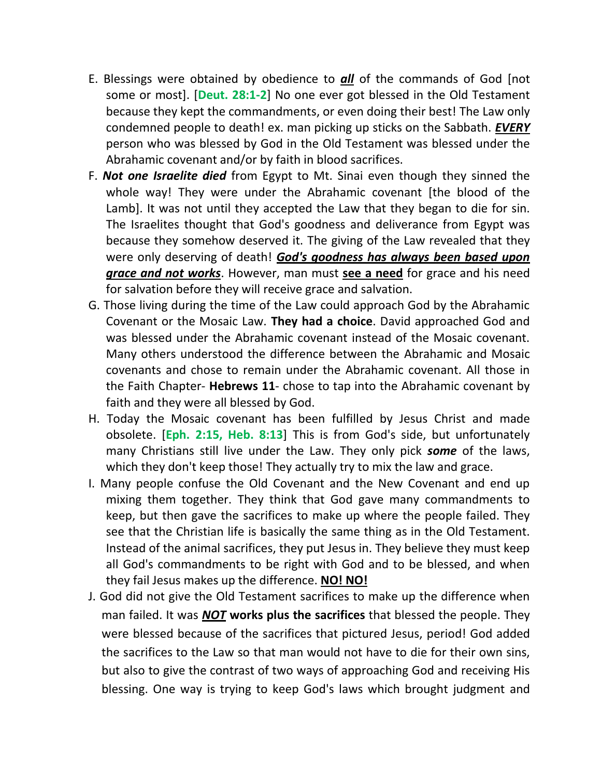- E. Blessings were obtained by obedience to *all* of the commands of God [not some or most]. [**Deut. 28:1-2**] No one ever got blessed in the Old Testament because they kept the commandments, or even doing their best! The Law only condemned people to death! ex. man picking up sticks on the Sabbath. *EVERY* person who was blessed by God in the Old Testament was blessed under the Abrahamic covenant and/or by faith in blood sacrifices.
- F. *Not one Israelite died* from Egypt to Mt. Sinai even though they sinned the whole way! They were under the Abrahamic covenant [the blood of the Lamb]. It was not until they accepted the Law that they began to die for sin. The Israelites thought that God's goodness and deliverance from Egypt was because they somehow deserved it. The giving of the Law revealed that they were only deserving of death! *God's goodness has always been based upon grace and not works*. However, man must **see a need** for grace and his need for salvation before they will receive grace and salvation.
- G. Those living during the time of the Law could approach God by the Abrahamic Covenant or the Mosaic Law. **They had a choice**. David approached God and was blessed under the Abrahamic covenant instead of the Mosaic covenant. Many others understood the difference between the Abrahamic and Mosaic covenants and chose to remain under the Abrahamic covenant. All those in the Faith Chapter- **Hebrews 11**- chose to tap into the Abrahamic covenant by faith and they were all blessed by God.
- H. Today the Mosaic covenant has been fulfilled by Jesus Christ and made obsolete. [**Eph. 2:15, Heb. 8:13**] This is from God's side, but unfortunately many Christians still live under the Law. They only pick *some* of the laws, which they don't keep those! They actually try to mix the law and grace.
- I. Many people confuse the Old Covenant and the New Covenant and end up mixing them together. They think that God gave many commandments to keep, but then gave the sacrifices to make up where the people failed. They see that the Christian life is basically the same thing as in the Old Testament. Instead of the animal sacrifices, they put Jesus in. They believe they must keep all God's commandments to be right with God and to be blessed, and when they fail Jesus makes up the difference. **NO! NO!**
- J. God did not give the Old Testament sacrifices to make up the difference when man failed. It was *NOT* **works plus the sacrifices** that blessed the people. They were blessed because of the sacrifices that pictured Jesus, period! God added the sacrifices to the Law so that man would not have to die for their own sins, but also to give the contrast of two ways of approaching God and receiving His blessing. One way is trying to keep God's laws which brought judgment and